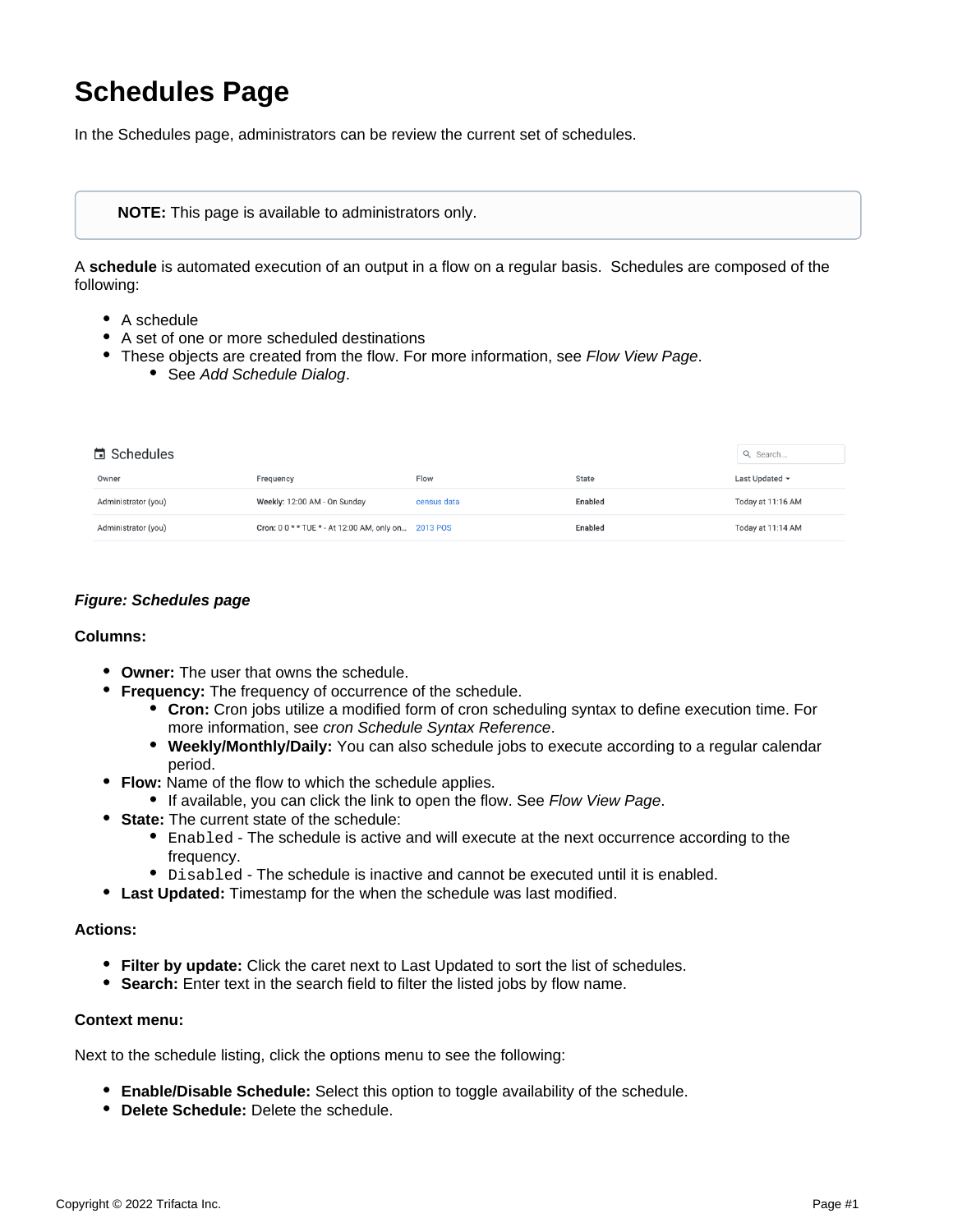# **Schedules Page**

In the Schedules page, administrators can be review the current set of schedules.

## **NOTE:** This page is available to administrators only.

A **schedule** is automated execution of an output in a flow on a regular basis. Schedules are composed of the following:

- A schedule
- A set of one or more scheduled destinations
- These objects are created from the flow. For more information, see [Flow View Page](https://docs.trifacta.com/display/r082/Flow+View+Page). • See [Add Schedule Dialog](https://docs.trifacta.com/display/r082/Add+Schedule+Dialog).

| <b>□</b> Schedules  |                                                     |             |         | Q Search            |
|---------------------|-----------------------------------------------------|-------------|---------|---------------------|
| Owner               | Frequency                                           | Flow        | State   | Last Updated $\sim$ |
| Administrator (you) | Weekly: 12:00 AM - On Sunday                        | census data | Enabled | Today at 11:16 AM   |
| Administrator (you) | Cron: 0 0 * * TUE * - At 12:00 AM, only on 2013 POS |             | Enabled | Today at 11:14 AM   |

## **Figure: Schedules page**

#### **Columns:**

- **Owner:** The user that owns the schedule.
- **Frequency:** The frequency of occurrence of the schedule.
	- **Cron:** Cron jobs utilize a modified form of cron scheduling syntax to define execution time. For more information, see [cron Schedule Syntax Reference](https://docs.trifacta.com/display/r082/cron+Schedule+Syntax+Reference).
	- **Weekly/Monthly/Daily:** You can also schedule jobs to execute according to a regular calendar period.
- **Flow:** Name of the flow to which the schedule applies.
	- If available, you can click the link to open the flow. See [Flow View Page](https://docs.trifacta.com/display/r082/Flow+View+Page).
- **State:** The current state of the schedule:
	- Enabled The schedule is active and will execute at the next occurrence according to the frequency.
	- $\bullet$  Disabled The schedule is inactive and cannot be executed until it is enabled.
- **Last Updated:** Timestamp for the when the schedule was last modified.

## **Actions:**

- **Filter by update:** Click the caret next to Last Updated to sort the list of schedules.
- **Search:** Enter text in the search field to filter the listed jobs by flow name.

### **Context menu:**

Next to the schedule listing, click the options menu to see the following:

- **Enable/Disable Schedule:** Select this option to toggle availability of the schedule.
- **Delete Schedule:** Delete the schedule.